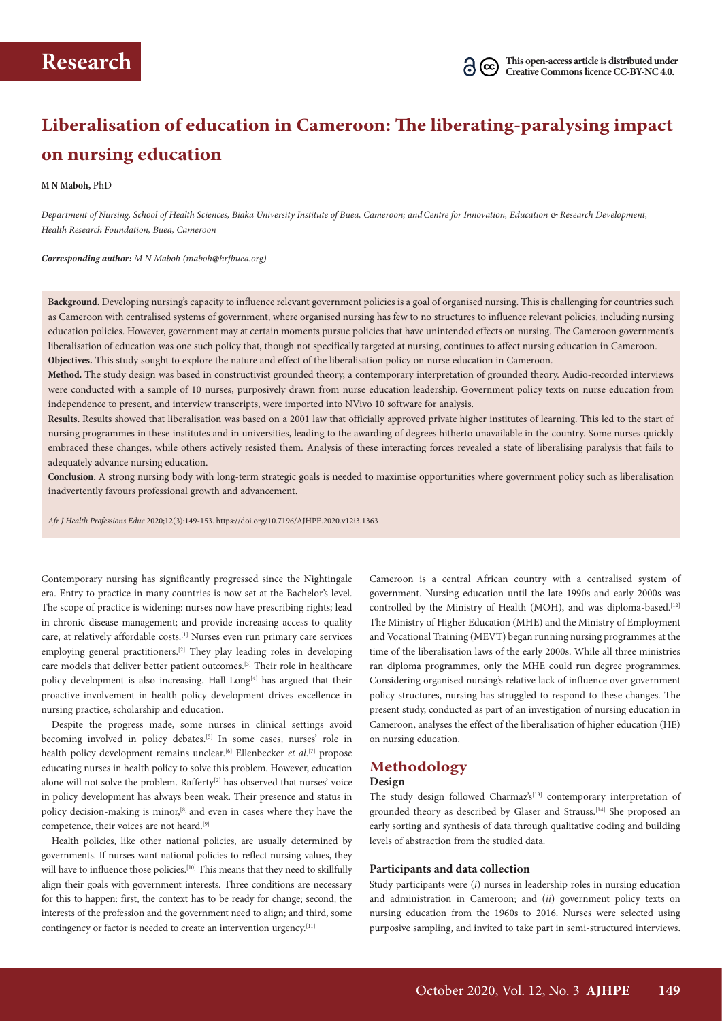# **Liberalisation of education in Cameroon: The liberating-paralysing impact on nursing education**

#### **M N Maboh,** PhD

*Department of Nursing, School of Health Sciences, Biaka University Institute of Buea, Cameroon; andCentre for Innovation, Education & Research Development, Health Research Foundation, Buea, Cameroon*

*Corresponding author: M N Maboh (maboh@hrfbuea.org)*

**Background.** Developing nursing's capacity to influence relevant government policies is a goal of organised nursing. This is challenging for countries such as Cameroon with centralised systems of government, where organised nursing has few to no structures to influence relevant policies, including nursing education policies. However, government may at certain moments pursue policies that have unintended effects on nursing. The Cameroon government's liberalisation of education was one such policy that, though not specifically targeted at nursing, continues to affect nursing education in Cameroon. **Objectives.** This study sought to explore the nature and effect of the liberalisation policy on nurse education in Cameroon.

**Method.** The study design was based in constructivist grounded theory, a contemporary interpretation of grounded theory. Audio-recorded interviews were conducted with a sample of 10 nurses, purposively drawn from nurse education leadership. Government policy texts on nurse education from independence to present, and interview transcripts, were imported into NVivo 10 software for analysis.

**Results.** Results showed that liberalisation was based on a 2001 law that officially approved private higher institutes of learning. This led to the start of nursing programmes in these institutes and in universities, leading to the awarding of degrees hitherto unavailable in the country. Some nurses quickly embraced these changes, while others actively resisted them. Analysis of these interacting forces revealed a state of liberalising paralysis that fails to adequately advance nursing education.

**Conclusion.** A strong nursing body with long-term strategic goals is needed to maximise opportunities where government policy such as liberalisation inadvertently favours professional growth and advancement.

*Afr J Health Professions Educ* 2020;12(3):149-153. https://doi.org/10.7196/AJHPE.2020.v12i3.1363

Contemporary nursing has significantly progressed since the Nightingale era. Entry to practice in many countries is now set at the Bachelor's level. The scope of practice is widening: nurses now have prescribing rights; lead in chronic disease management; and provide increasing access to quality care, at relatively affordable costs.<sup>[1]</sup> Nurses even run primary care services employing general practitioners.<sup>[2]</sup> They play leading roles in developing care models that deliver better patient outcomes.[3] Their role in healthcare policy development is also increasing. Hall-Long<sup>[4]</sup> has argued that their proactive involvement in health policy development drives excellence in nursing practice, scholarship and education.

Despite the progress made, some nurses in clinical settings avoid becoming involved in policy debates.<sup>[5]</sup> In some cases, nurses' role in health policy development remains unclear.<sup>[6]</sup> Ellenbecker *et al*.<sup>[7]</sup> propose educating nurses in health policy to solve this problem. However, education alone will not solve the problem. Rafferty<sup>[2]</sup> has observed that nurses' voice in policy development has always been weak. Their presence and status in policy decision-making is minor,<sup>[8]</sup> and even in cases where they have the competence, their voices are not heard.<sup>[9]</sup>

Health policies, like other national policies, are usually determined by governments. If nurses want national policies to reflect nursing values, they will have to influence those policies.<sup>[10]</sup> This means that they need to skillfully align their goals with government interests. Three conditions are necessary for this to happen: first, the context has to be ready for change; second, the interests of the profession and the government need to align; and third, some contingency or factor is needed to create an intervention urgency.<sup>[11]</sup>

Cameroon is a central African country with a centralised system of government. Nursing education until the late 1990s and early 2000s was controlled by the Ministry of Health (MOH), and was diploma-based.<sup>[12]</sup> The Ministry of Higher Education (MHE) and the Ministry of Employment and Vocational Training (MEVT) began running nursing programmes at the time of the liberalisation laws of the early 2000s. While all three ministries ran diploma programmes, only the MHE could run degree programmes. Considering organised nursing's relative lack of influence over government policy structures, nursing has struggled to respond to these changes. The present study, conducted as part of an investigation of nursing education in Cameroon, analyses the effect of the liberalisation of higher education (HE) on nursing education.

# **Methodology**

#### **Design**

The study design followed Charmaz's<sup>[13]</sup> contemporary interpretation of grounded theory as described by Glaser and Strauss.<sup>[14]</sup> She proposed an early sorting and synthesis of data through qualitative coding and building levels of abstraction from the studied data.

### **Participants and data collection**

Study participants were (*i*) nurses in leadership roles in nursing education and administration in Cameroon; and (*ii*) government policy texts on nursing education from the 1960s to 2016. Nurses were selected using purposive sampling, and invited to take part in semi-structured interviews.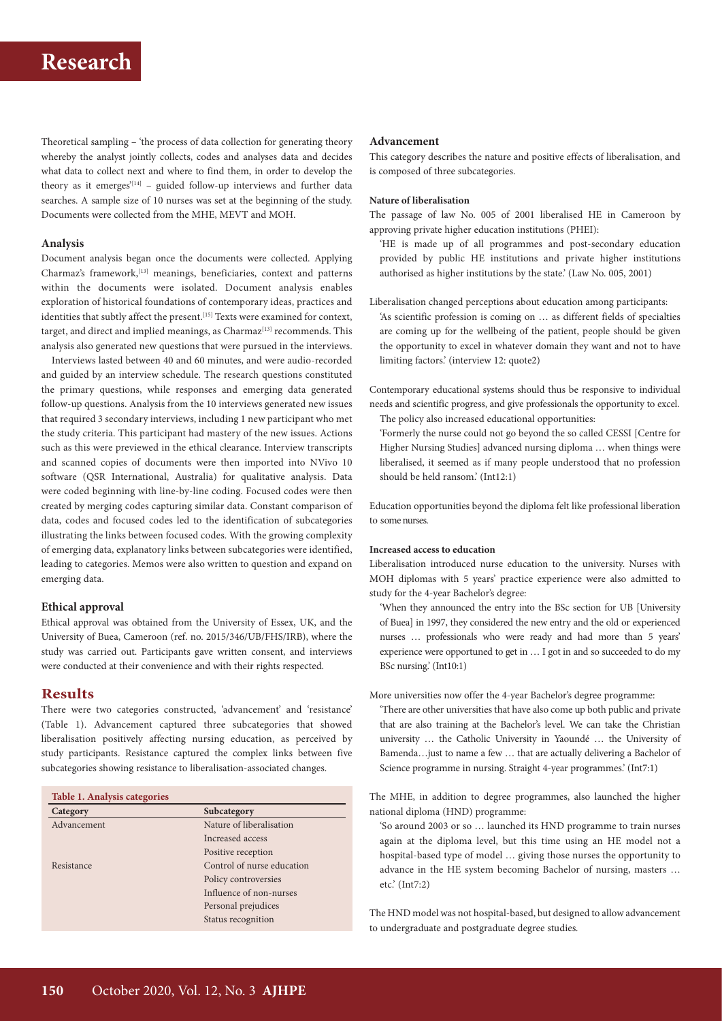Theoretical sampling – 'the process of data collection for generating theory whereby the analyst jointly collects, codes and analyses data and decides what data to collect next and where to find them, in order to develop the theory as it emerges<sup>'[14]</sup> – guided follow-up interviews and further data searches. A sample size of 10 nurses was set at the beginning of the study. Documents were collected from the MHE, MEVT and MOH.

# **Analysis**

Document analysis began once the documents were collected. Applying Charmaz's framework,[13] meanings, beneficiaries, context and patterns within the documents were isolated. Document analysis enables exploration of historical foundations of contemporary ideas, practices and identities that subtly affect the present.<sup>[15]</sup> Texts were examined for context, target, and direct and implied meanings, as Charmaz<sup>[13]</sup> recommends. This analysis also generated new questions that were pursued in the interviews.

Interviews lasted between 40 and 60 minutes, and were audio-recorded and guided by an interview schedule. The research questions constituted the primary questions, while responses and emerging data generated follow-up questions. Analysis from the 10 interviews generated new issues that required 3 secondary interviews, including 1 new participant who met the study criteria. This participant had mastery of the new issues. Actions such as this were previewed in the ethical clearance. Interview transcripts and scanned copies of documents were then imported into NVivo 10 software (QSR International, Australia) for qualitative analysis. Data were coded beginning with line-by-line coding. Focused codes were then created by merging codes capturing similar data. Constant comparison of data, codes and focused codes led to the identification of subcategories illustrating the links between focused codes. With the growing complexity of emerging data, explanatory links between subcategories were identified, leading to categories. Memos were also written to question and expand on emerging data.

### **Ethical approval**

Ethical approval was obtained from the University of Essex, UK, and the University of Buea, Cameroon (ref. no. 2015/346/UB/FHS/IRB), where the study was carried out. Participants gave written consent, and interviews were conducted at their convenience and with their rights respected.

#### **Results**

There were two categories constructed, 'advancement' and 'resistance' (Table 1). Advancement captured three subcategories that showed liberalisation positively affecting nursing education, as perceived by study participants. Resistance captured the complex links between five subcategories showing resistance to liberalisation-associated changes.

# **Table 1. Analysis categories**

| Category    | Subcategory                |
|-------------|----------------------------|
| Advancement | Nature of liberalisation   |
|             | Increased access           |
|             | Positive reception         |
| Resistance  | Control of nurse education |
|             | Policy controversies       |
|             | Influence of non-nurses    |
|             | Personal prejudices        |
|             | Status recognition         |
|             |                            |

#### **Advancement**

This category describes the nature and positive effects of liberalisation, and is composed of three subcategories.

#### **Nature of liberalisation**

The passage of law No. 005 of 2001 liberalised HE in Cameroon by approving private higher education institutions (PHEI):

'HE is made up of all programmes and post-secondary education provided by public HE institutions and private higher institutions authorised as higher institutions by the state.' (Law No. 005, 2001)

Liberalisation changed perceptions about education among participants:

'As scientific profession is coming on … as different fields of specialties are coming up for the wellbeing of the patient, people should be given the opportunity to excel in whatever domain they want and not to have limiting factors.' (interview 12: quote2)

Contemporary educational systems should thus be responsive to individual needs and scientific progress, and give professionals the opportunity to excel. The policy also increased educational opportunities:

'Formerly the nurse could not go beyond the so called CESSI [Centre for Higher Nursing Studies] advanced nursing diploma … when things were liberalised, it seemed as if many people understood that no profession should be held ransom.' (Int12:1)

Education opportunities beyond the diploma felt like professional liberation to some nurses.

# **Increased access to education**

Liberalisation introduced nurse education to the university. Nurses with MOH diplomas with 5 years' practice experience were also admitted to study for the 4-year Bachelor's degree:

'When they announced the entry into the BSc section for UB [University of Buea] in 1997, they considered the new entry and the old or experienced nurses … professionals who were ready and had more than 5 years' experience were opportuned to get in … I got in and so succeeded to do my BSc nursing.' (Int10:1)

More universities now offer the 4-year Bachelor's degree programme:

'There are other universities that have also come up both public and private that are also training at the Bachelor's level. We can take the Christian university … the Catholic University in Yaoundé … the University of Bamenda…just to name a few … that are actually delivering a Bachelor of Science programme in nursing. Straight 4-year programmes.' (Int7:1)

The MHE, in addition to degree programmes, also launched the higher national diploma (HND) programme:

'So around 2003 or so … launched its HND programme to train nurses again at the diploma level, but this time using an HE model not a hospital-based type of model … giving those nurses the opportunity to advance in the HE system becoming Bachelor of nursing, masters … etc.' (Int7:2)

The HND model was not hospital-based, but designed to allow advancement to undergraduate and postgraduate degree studies*.*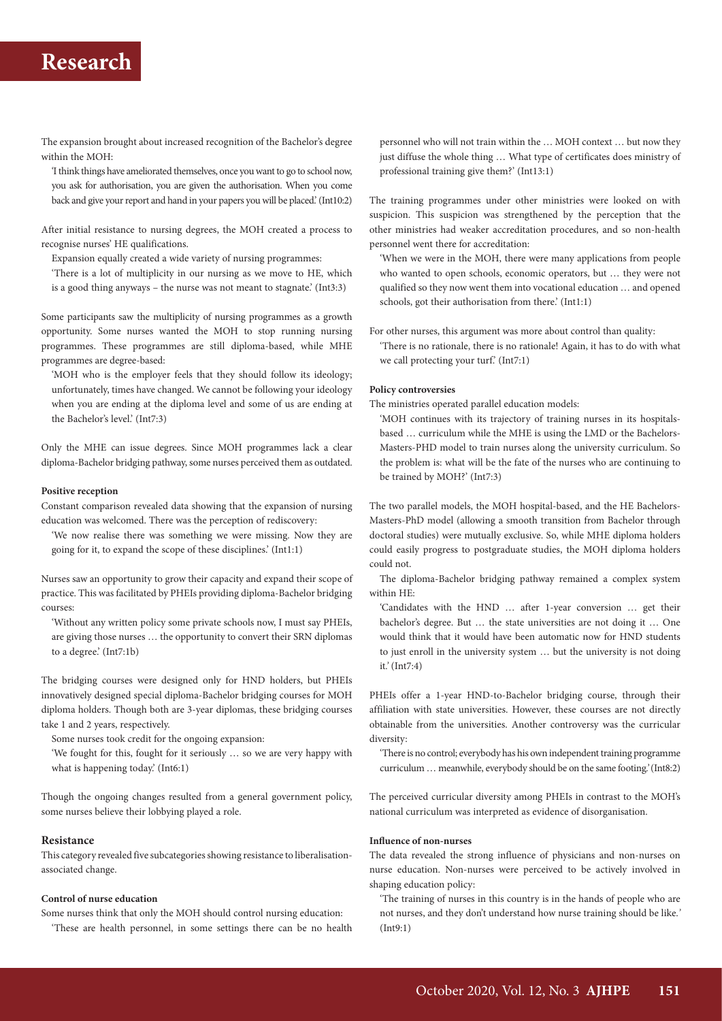The expansion brought about increased recognition of the Bachelor's degree within the MOH:

'I think things have ameliorated themselves, once you want to go to school now, you ask for authorisation, you are given the authorisation. When you come back and give your report and hand in your papers you will be placed.' (Int10:2)

After initial resistance to nursing degrees, the MOH created a process to recognise nurses' HE qualifications.

Expansion equally created a wide variety of nursing programmes:

'There is a lot of multiplicity in our nursing as we move to HE, which is a good thing anyways – the nurse was not meant to stagnate.' (Int3:3)

Some participants saw the multiplicity of nursing programmes as a growth opportunity. Some nurses wanted the MOH to stop running nursing programmes. These programmes are still diploma-based, while MHE programmes are degree-based:

'MOH who is the employer feels that they should follow its ideology; unfortunately, times have changed. We cannot be following your ideology when you are ending at the diploma level and some of us are ending at the Bachelor's level.' (Int7:3)

Only the MHE can issue degrees. Since MOH programmes lack a clear diploma-Bachelor bridging pathway, some nurses perceived them as outdated.

#### **Positive reception**

Constant comparison revealed data showing that the expansion of nursing education was welcomed. There was the perception of rediscovery:

'We now realise there was something we were missing. Now they are going for it, to expand the scope of these disciplines.' (Int1:1)

Nurses saw an opportunity to grow their capacity and expand their scope of practice. This was facilitated by PHEIs providing diploma-Bachelor bridging courses:

'Without any written policy some private schools now, I must say PHEIs, are giving those nurses … the opportunity to convert their SRN diplomas to a degree.' (Int7:1b)

The bridging courses were designed only for HND holders, but PHEIs innovatively designed special diploma-Bachelor bridging courses for MOH diploma holders. Though both are 3-year diplomas, these bridging courses take 1 and 2 years, respectively.

Some nurses took credit for the ongoing expansion:

'We fought for this, fought for it seriously … so we are very happy with what is happening today.' (Int6:1)

Though the ongoing changes resulted from a general government policy, some nurses believe their lobbying played a role.

#### **Resistance**

This category revealed five subcategories showing resistance to liberalisationassociated change.

# **Control of nurse education**

Some nurses think that only the MOH should control nursing education: 'These are health personnel, in some settings there can be no health personnel who will not train within the … MOH context … but now they just diffuse the whole thing … What type of certificates does ministry of professional training give them?' (Int13:1)

The training programmes under other ministries were looked on with suspicion. This suspicion was strengthened by the perception that the other ministries had weaker accreditation procedures, and so non-health personnel went there for accreditation:

'When we were in the MOH, there were many applications from people who wanted to open schools, economic operators, but … they were not qualified so they now went them into vocational education … and opened schools, got their authorisation from there.' (Int1:1)

For other nurses, this argument was more about control than quality:

'There is no rationale, there is no rationale! Again, it has to do with what we call protecting your turf.' (Int7:1)

# **Policy controversies**

The ministries operated parallel education models:

'MOH continues with its trajectory of training nurses in its hospitalsbased … curriculum while the MHE is using the LMD or the Bachelors-Masters-PHD model to train nurses along the university curriculum. So the problem is: what will be the fate of the nurses who are continuing to be trained by MOH?' (Int7:3)

The two parallel models, the MOH hospital-based, and the HE Bachelors-Masters-PhD model (allowing a smooth transition from Bachelor through doctoral studies) were mutually exclusive. So, while MHE diploma holders could easily progress to postgraduate studies, the MOH diploma holders could not.

The diploma-Bachelor bridging pathway remained a complex system within HE:

'Candidates with the HND … after 1-year conversion … get their bachelor's degree. But … the state universities are not doing it … One would think that it would have been automatic now for HND students to just enroll in the university system … but the university is not doing it*.'* (Int7:4)

PHEIs offer a 1-year HND-to-Bachelor bridging course, through their affiliation with state universities. However, these courses are not directly obtainable from the universities. Another controversy was the curricular diversity:

'There is no control; everybody has his own independent training programme curriculum … meanwhile, everybody should be on the same footing*.'* (Int8:2)

The perceived curricular diversity among PHEIs in contrast to the MOH's national curriculum was interpreted as evidence of disorganisation.

#### **Influence of non-nurses**

The data revealed the strong influence of physicians and non-nurses on nurse education. Non-nurses were perceived to be actively involved in shaping education policy:

'The training of nurses in this country is in the hands of people who are not nurses, and they don't understand how nurse training should be like.*'* (Int9:1)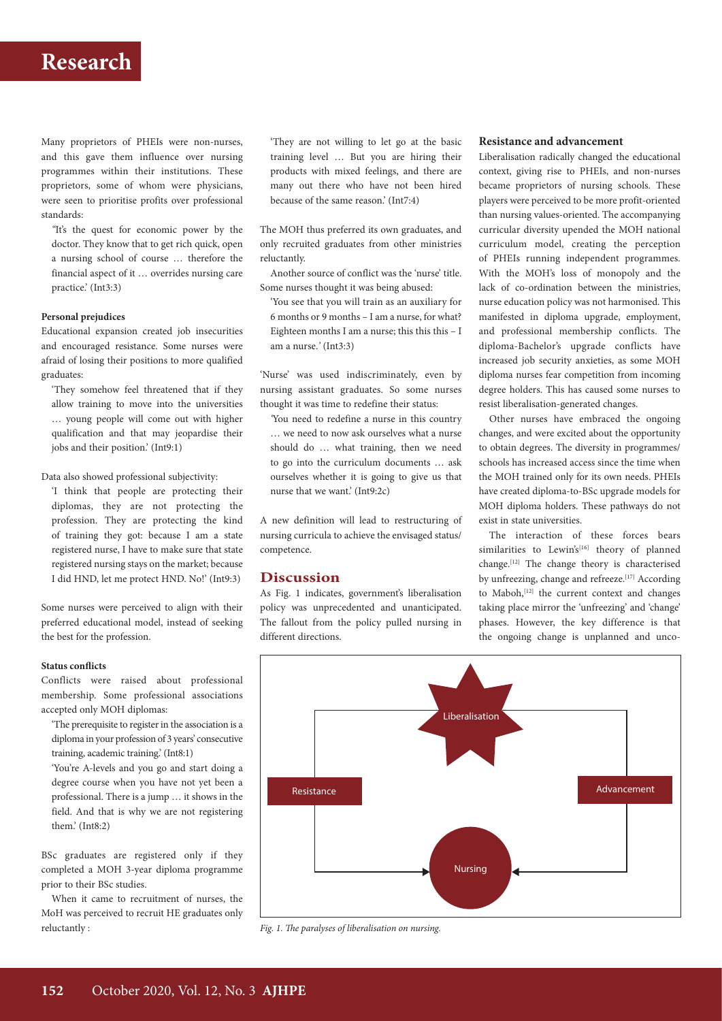Many proprietors of PHEIs were non-nurses, and this gave them influence over nursing programmes within their institutions. These proprietors, some of whom were physicians, were seen to prioritise profits over professional standards:

*''*It's the quest for economic power by the doctor. They know that to get rich quick, open a nursing school of course … therefore the financial aspect of it … overrides nursing care practice.' (Int3:3)

# **Personal prejudices**

Educational expansion created job insecurities and encouraged resistance. Some nurses were afraid of losing their positions to more qualified graduates:

'They somehow feel threatened that if they allow training to move into the universities … young people will come out with higher qualification and that may jeopardise their jobs and their position.' (Int9:1)

Data also showed professional subjectivity:

'I think that people are protecting their diplomas, they are not protecting the profession. They are protecting the kind of training they got: because I am a state registered nurse, I have to make sure that state registered nursing stays on the market; because I did HND, let me protect HND. No!' (Int9:3)

Some nurses were perceived to align with their preferred educational model, instead of seeking the best for the profession.

#### **Status conflicts**

Conflicts were raised about professional membership. Some professional associations accepted only MOH diplomas:

'The prerequisite to register in the association is a diploma in your profession of 3 years' consecutive training, academic training.' (Int8:1)

'You're A-levels and you go and start doing a degree course when you have not yet been a professional. There is a jump … it shows in the field. And that is why we are not registering them.' (Int8:2)

BSc graduates are registered only if they completed a MOH 3-year diploma programme prior to their BSc studies.

When it came to recruitment of nurses, the MoH was perceived to recruit HE graduates only reluctantly :

'They are not willing to let go at the basic training level … But you are hiring their products with mixed feelings, and there are many out there who have not been hired because of the same reason.' (Int7:4)

The MOH thus preferred its own graduates, and only recruited graduates from other ministries reluctantly.

Another source of conflict was the 'nurse' title. Some nurses thought it was being abused:

'You see that you will train as an auxiliary for 6 months or 9 months – I am a nurse, for what? Eighteen months I am a nurse; this this  $-1$ am a nurse.*'* (Int3:3)

'Nurse' was used indiscriminately, even by nursing assistant graduates. So some nurses thought it was time to redefine their status:

*'*You need to redefine a nurse in this country … we need to now ask ourselves what a nurse should do … what training, then we need to go into the curriculum documents … ask ourselves whether it is going to give us that nurse that we want.' (Int9:2c)

A new definition will lead to restructuring of nursing curricula to achieve the envisaged status/ competence.

#### **Discussion**

As Fig. 1 indicates, government's liberalisation policy was unprecedented and unanticipated. The fallout from the policy pulled nursing in different directions.

### **Resistance and advancement**

Liberalisation radically changed the educational context, giving rise to PHEIs, and non-nurses became proprietors of nursing schools. These players were perceived to be more profit-oriented than nursing values-oriented. The accompanying curricular diversity upended the MOH national curriculum model, creating the perception of PHEIs running independent programmes. With the MOH's loss of monopoly and the lack of co-ordination between the ministries, nurse education policy was not harmonised. This manifested in diploma upgrade, employment, and professional membership conflicts. The diploma-Bachelor's upgrade conflicts have increased job security anxieties, as some MOH diploma nurses fear competition from incoming degree holders. This has caused some nurses to resist liberalisation-generated changes.

Other nurses have embraced the ongoing changes, and were excited about the opportunity to obtain degrees. The diversity in programmes/ schools has increased access since the time when the MOH trained only for its own needs. PHEIs have created diploma-to-BSc upgrade models for MOH diploma holders. These pathways do not exist in state universities.

The interaction of these forces bears similarities to Lewin's<sup>[16]</sup> theory of planned change.[12] The change theory is characterised by unfreezing, change and refreeze.<sup>[17]</sup> According to Maboh,<sup>[12]</sup> the current context and changes taking place mirror the 'unfreezing' and 'change' phases. However, the key difference is that the ongoing change is unplanned and unco-



*Fig. 1. The paralyses of liberalisation on nursing.*